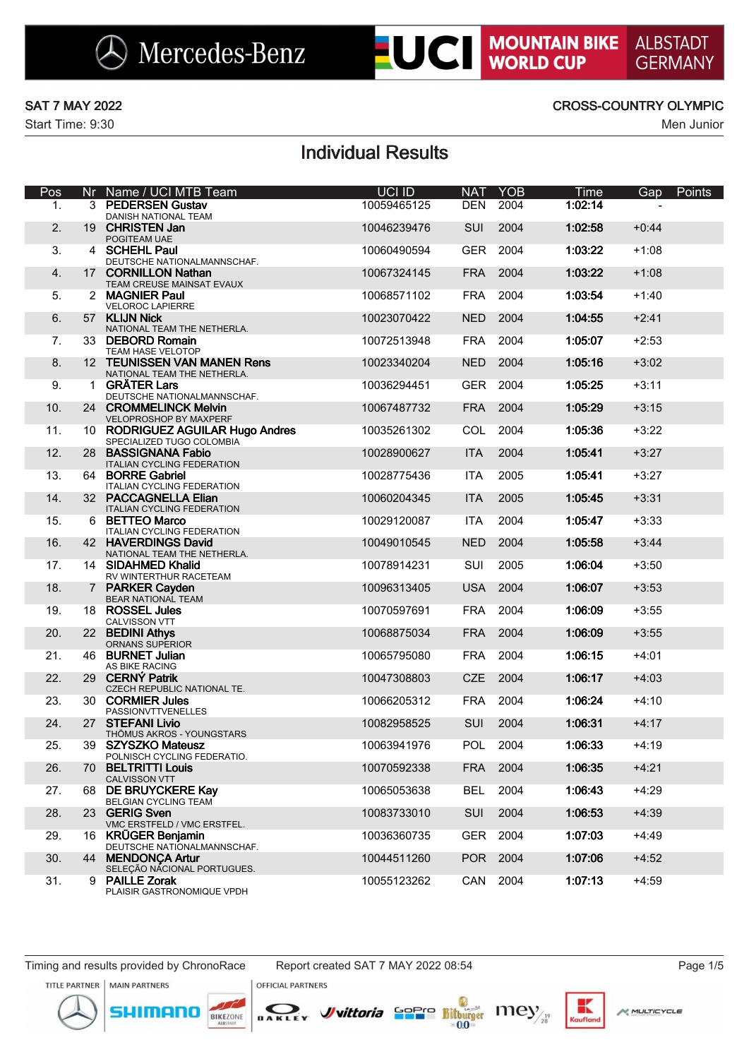# **LUCI MOUNTAIN BIKE**

Start Time: 9:30 Men Junior

### SAT 7 MAY 2022 CROSS-COUNTRY OLYMPIC

# Individual Results

| Pos            |                | Nr Name / UCI MTB Team                                        | UCI ID      | <b>NAT</b> | <b>YOB</b> | <b>Time</b> | Gap     | Points |
|----------------|----------------|---------------------------------------------------------------|-------------|------------|------------|-------------|---------|--------|
| 1.             |                | 3 PEDERSEN Gustav<br>DANISH NATIONAL TEAM                     | 10059465125 | <b>DEN</b> | 2004       | 1:02:14     |         |        |
| 2.             |                | 19 CHRISTEN Jan<br>POGITEAM UAE                               | 10046239476 | SUI        | 2004       | 1:02:58     | $+0:44$ |        |
| 3.             |                | 4 SCHEHL Paul<br>DEUTSCHE NATIONALMANNSCHAF.                  | 10060490594 | <b>GER</b> | 2004       | 1:03:22     | $+1:08$ |        |
| 4.             |                | 17 CORNILLON Nathan<br>TEAM CREUSE MAINSAT EVAUX              | 10067324145 | <b>FRA</b> | 2004       | 1:03:22     | $+1:08$ |        |
| 5.             |                | 2 MAGNIER Paul<br><b>VELOROC LAPIERRE</b>                     | 10068571102 | <b>FRA</b> | 2004       | 1:03:54     | $+1:40$ |        |
| 6.             |                | 57 KLIJN Nick<br>NATIONAL TEAM THE NETHERLA.                  | 10023070422 | <b>NED</b> | 2004       | 1:04:55     | $+2:41$ |        |
| 7 <sub>1</sub> |                | 33 DEBORD Romain<br>TEAM HASE VELOTOP                         | 10072513948 | <b>FRA</b> | 2004       | 1:05:07     | $+2:53$ |        |
| 8.             |                | 12 TEUNISSEN VAN MANEN Rens<br>NATIONAL TEAM THE NETHERLA.    | 10023340204 | <b>NED</b> | 2004       | 1:05:16     | $+3:02$ |        |
| 9.             |                | 1 GRÄTER Lars<br>DEUTSCHE NATIONALMANNSCHAF.                  | 10036294451 | <b>GER</b> | 2004       | 1:05:25     | $+3:11$ |        |
| 10.            |                | 24 CROMMELINCK Melvin<br>VELOPROSHOP BY MAXPERF               | 10067487732 | <b>FRA</b> | 2004       | 1:05:29     | $+3:15$ |        |
| 11.            |                | 10 RODRIGUEZ AGUILAR Hugo Andres<br>SPECIALIZED TUGO COLOMBIA | 10035261302 | COL        | 2004       | 1:05:36     | $+3:22$ |        |
| 12.            | 28             | <b>BASSIGNANA Fabio</b><br><b>ITALIAN CYCLING FEDERATION</b>  | 10028900627 | <b>ITA</b> | 2004       | 1:05:41     | $+3:27$ |        |
| 13.            | 64             | <b>BORRE Gabriel</b><br><b>ITALIAN CYCLING FEDERATION</b>     | 10028775436 | <b>ITA</b> | 2005       | 1:05:41     | $+3:27$ |        |
| 14.            |                | 32 PACCAGNELLA Elian<br><b>ITALIAN CYCLING FEDERATION</b>     | 10060204345 | <b>ITA</b> | 2005       | 1:05:45     | $+3:31$ |        |
| 15.            |                | 6 BETTEO Marco<br><b>ITALIAN CYCLING FEDERATION</b>           | 10029120087 | <b>ITA</b> | 2004       | 1:05:47     | $+3:33$ |        |
| 16.            |                | 42 HAVERDINGS David<br>NATIONAL TEAM THE NETHERLA.            | 10049010545 | <b>NED</b> | 2004       | 1:05:58     | $+3:44$ |        |
| 17.            |                | 14 SIDAHMED Khalid<br>RV WINTERTHUR RACETEAM                  | 10078914231 | <b>SUI</b> | 2005       | 1:06:04     | $+3:50$ |        |
| 18.            | $7\phantom{.}$ | <b>PARKER Cayden</b><br>BEAR NATIONAL TEAM                    | 10096313405 | <b>USA</b> | 2004       | 1:06:07     | $+3:53$ |        |
| 19.            |                | 18 ROSSEL Jules<br>CALVISSON VTT                              | 10070597691 | <b>FRA</b> | 2004       | 1:06:09     | $+3:55$ |        |
| 20.            |                | 22 BEDINI Athys<br>ORNANS SUPERIOR                            | 10068875034 | <b>FRA</b> | 2004       | 1:06:09     | $+3:55$ |        |
| 21.            |                | 46 BURNET Julian<br>AS BIKE RACING                            | 10065795080 | <b>FRA</b> | 2004       | 1:06:15     | $+4:01$ |        |
| 22.            |                | 29 CERNÝ Patrik<br>CZECH REPUBLIC NATIONAL TE.                | 10047308803 | <b>CZE</b> | 2004       | 1:06:17     | $+4:03$ |        |
| 23.            |                | 30 CORMIER Jules<br><b>PASSIONVTTVENELLES</b>                 | 10066205312 | <b>FRA</b> | 2004       | 1:06:24     | $+4:10$ |        |
| 24.            |                | 27 STEFANI Livio<br>THÖMUS AKROS - YOUNGSTARS                 | 10082958525 | SUI        | 2004       | 1:06:31     | $+4:17$ |        |
| 25.            | 39 -           | <b>SZYSZKO Mateusz</b><br>POLNISCH CYCLING FEDERATIO.         | 10063941976 | <b>POL</b> | 2004       | 1:06:33     | $+4:19$ |        |
| 26.            |                | 70 BELTRITTI Louis<br><b>CALVISSON VTT</b>                    | 10070592338 |            | FRA 2004   | 1:06:35     | $+4:21$ |        |
| 27.            |                | 68 DE BRUYCKERE Kay<br>BELGIAN CYCLING TEAM                   | 10065053638 | BEL        | 2004       | 1:06:43     | $+4:29$ |        |
| 28.            |                | 23 GERIG Sven<br>VMC ERSTFELD / VMC ERSTFEL.                  | 10083733010 | <b>SUI</b> | 2004       | 1:06:53     | $+4:39$ |        |
| 29.            |                | 16 KRÜGER Benjamin<br>DEUTSCHE NATIONALMANNSCHAF.             | 10036360735 |            | GER 2004   | 1:07:03     | $+4:49$ |        |
| 30.            |                | 44 MENDONCA Artur<br>SELEÇÃO NACIONAL PORTUGUES.              | 10044511260 |            | POR 2004   | 1:07:06     | $+4:52$ |        |
| 31.            |                | 9 PAILLE Zorak<br>PLAISIR GASTRONOMIQUE VPDH                  | 10055123262 | CAN        | 2004       | 1:07:13     | $+4:59$ |        |

Timing and results provided by ChronoRace Report created SAT 7 MAY 2022 08:54 Page 1/5

TITLE PARTNER | MAIN PARTNERS

mor

**OFFICIAL PARTNERS** BAKLEY

BIKEZONE

*J*uittoria Sepre Bitturger Iney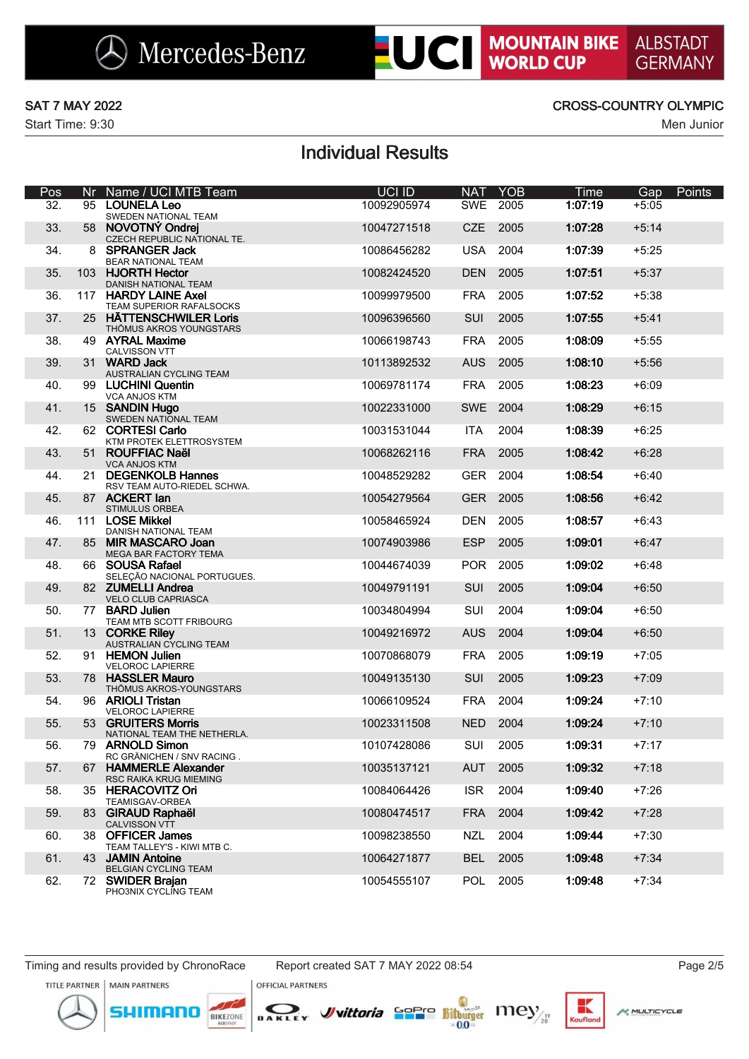**LUCI MOUNTAIN BIKE** 

**ALBSTADT** 

**GERMANY** 

# Individual Results

| Pos | Nr  | Name / UCI MTB Team                                    | UCI ID      | <b>NAT</b> | <b>YOB</b> | Time    | Gap     | Points |
|-----|-----|--------------------------------------------------------|-------------|------------|------------|---------|---------|--------|
| 32. |     | 95 LOUNELA Leo<br>SWEDEN NATIONAL TEAM                 | 10092905974 | <b>SWE</b> | 2005       | 1:07:19 | $+5:05$ |        |
| 33. |     | 58 NOVOTNÝ Ondrej<br>CZECH REPUBLIC NATIONAL TE.       | 10047271518 | <b>CZE</b> | 2005       | 1:07:28 | $+5:14$ |        |
| 34. | 8   | <b>SPRANGER Jack</b><br><b>BEAR NATIONAL TEAM</b>      | 10086456282 | <b>USA</b> | 2004       | 1:07:39 | $+5:25$ |        |
| 35. | 103 | <b>HJORTH Hector</b><br>DANISH NATIONAL TEAM           | 10082424520 | <b>DEN</b> | 2005       | 1:07:51 | $+5:37$ |        |
| 36. |     | 117 HARDY LAINE Axel<br>TEAM SUPERIOR RAFALSOCKS       | 10099979500 | <b>FRA</b> | 2005       | 1:07:52 | $+5:38$ |        |
| 37. | 25  | <b>HÄTTENSCHWILER Loris</b><br>THÖMUS AKROS YOUNGSTARS | 10096396560 | SUI        | 2005       | 1:07:55 | $+5:41$ |        |
| 38. |     | 49 AYRAL Maxime<br>CALVISSON VTT                       | 10066198743 | <b>FRA</b> | 2005       | 1:08:09 | $+5:55$ |        |
| 39. |     | 31 WARD Jack<br>AUSTRALIAN CYCLING TEAM                | 10113892532 | <b>AUS</b> | 2005       | 1:08:10 | $+5:56$ |        |
| 40. |     | 99 LUCHINI Quentin<br>VCA ANJOS KTM                    | 10069781174 | <b>FRA</b> | 2005       | 1:08:23 | $+6:09$ |        |
| 41. |     | 15 SANDIN Hugo<br>SWEDEN NATIONAL TEAM                 | 10022331000 | SWE        | 2004       | 1:08:29 | $+6:15$ |        |
| 42. |     | 62 CORTESI Carlo<br>KTM PROTEK ELETTROSYSTEM           | 10031531044 | <b>ITA</b> | 2004       | 1:08:39 | $+6:25$ |        |
| 43. |     | 51 ROUFFIAC Naël<br><b>VCA ANJOS KTM</b>               | 10068262116 | <b>FRA</b> | 2005       | 1:08:42 | $+6:28$ |        |
| 44. |     | 21 DEGENKOLB Hannes<br>RSV TEAM AUTO-RIEDEL SCHWA.     | 10048529282 | <b>GER</b> | 2004       | 1:08:54 | $+6:40$ |        |
| 45. |     | 87 ACKERT lan<br><b>STIMULUS ORBEA</b>                 | 10054279564 | <b>GER</b> | 2005       | 1:08:56 | $+6:42$ |        |
| 46. |     | 111 LOSE Mikkel<br><b>DANISH NATIONAL TEAM</b>         | 10058465924 | <b>DEN</b> | 2005       | 1:08:57 | $+6:43$ |        |
| 47. | 85  | <b>MIR MASCARO Joan</b><br>MEGA BAR FACTORY TEMA       | 10074903986 | <b>ESP</b> | 2005       | 1:09:01 | $+6:47$ |        |
| 48. |     | 66 SOUSA Rafael<br>SELEÇÃO NACIONAL PORTUGUES.         | 10044674039 | <b>POR</b> | 2005       | 1:09:02 | $+6:48$ |        |
| 49. |     | 82 ZUMELLI Andrea<br>VELO CLUB CAPRIASCA               | 10049791191 | <b>SUI</b> | 2005       | 1:09:04 | $+6:50$ |        |
| 50. |     | 77 BARD Julien<br>TEAM MTB SCOTT FRIBOURG              | 10034804994 | SUI        | 2004       | 1:09:04 | $+6:50$ |        |
| 51. |     | 13 CORKE Riley<br>AUSTRALIAN CYCLING TEAM              | 10049216972 | <b>AUS</b> | 2004       | 1:09:04 | $+6:50$ |        |
| 52. |     | 91 HEMON Julien<br><b>VELOROC LAPIERRE</b>             | 10070868079 | <b>FRA</b> | 2005       | 1:09:19 | $+7:05$ |        |
| 53. |     | 78 HASSLER Mauro<br>THÖMUS AKROS-YOUNGSTARS            | 10049135130 | <b>SUI</b> | 2005       | 1:09:23 | $+7:09$ |        |
| 54. |     | 96 ARIOLI Tristan<br><b>VELOROC LAPIERRE</b>           | 10066109524 | <b>FRA</b> | 2004       | 1:09:24 | $+7:10$ |        |
| 55. |     | 53 GRUITERS Morris<br>NATIONAL TEAM THE NETHERLA.      | 10023311508 | <b>NED</b> | 2004       | 1:09:24 | $+7:10$ |        |
| 56. | 79  | <b>ARNOLD Simon</b><br>RC GRÄNICHEN / SNV RACING.      | 10107428086 | SUI        | 2005       | 1:09:31 | $+7:17$ |        |
| 57. |     | 67 HAMMERLE Alexander<br>RSC RAIKA KRUG MIEMING        | 10035137121 | <b>AUT</b> | 2005       | 1:09:32 | $+7:18$ |        |
| 58. |     | 35 HERACOVITZ Ori<br>TEAMISGAV-ORBEA                   | 10084064426 | <b>ISR</b> | 2004       | 1:09:40 | $+7:26$ |        |
| 59. |     | 83 GIRAUD Raphaël<br><b>CALVISSON VTT</b>              | 10080474517 | <b>FRA</b> | 2004       | 1:09:42 | $+7:28$ |        |
| 60. |     | 38 OFFICER James<br>TEAM TALLEY'S - KIWI MTB C.        | 10098238550 | <b>NZL</b> | 2004       | 1:09:44 | $+7:30$ |        |
| 61. |     | 43 JAMIN Antoine<br>BELGIAN CYCLING TEAM               | 10064271877 | <b>BEL</b> | 2005       | 1:09:48 | $+7:34$ |        |
| 62. |     | 72 SWIDER Braian<br>PHO3NIX CYCLING TEAM               | 10054555107 | <b>POL</b> | 2005       | 1:09:48 | $+7:34$ |        |

Timing and results provided by ChronoRace Report created SAT 7 MAY 2022 08:54 Page 2/5

mor







**OFFICIAL PARTNERS** 

DAKLEY

*J*uittoria Sopre Bitturger 111ey

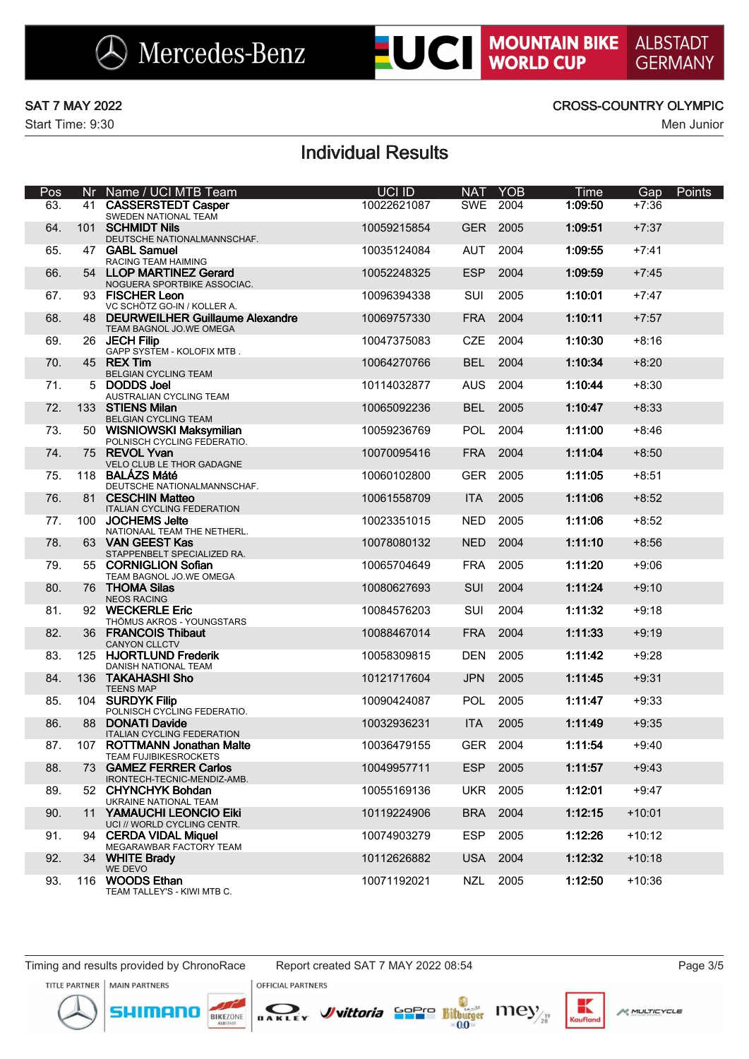### SAT 7 MAY 2022 CROSS-COUNTRY OLYMPIC

**LUCI MOUNTAIN BIKE** 

**ALBSTADT** 

**GERMANY** 

# Individual Results

| Pos |    | Nr Name / UCI MTB Team                                        | UCI ID      | <b>NAT</b> | <b>YOB</b> | Time    | Points<br>Gap |
|-----|----|---------------------------------------------------------------|-------------|------------|------------|---------|---------------|
| 63. |    | 41 CASSERSTEDT Casper<br>SWEDEN NATIONAL TEAM                 | 10022621087 | SWE        | 2004       | 1:09:50 | $+7:36$       |
| 64. |    | 101 SCHMIDT Nils<br>DEUTSCHE NATIONALMANNSCHAF.               | 10059215854 | <b>GER</b> | 2005       | 1:09:51 | $+7:37$       |
| 65. |    | 47 GABL Samuel<br>RACING TEAM HAIMING                         | 10035124084 | <b>AUT</b> | 2004       | 1:09:55 | $+7:41$       |
| 66. |    | 54 LLOP MARTINEZ Gerard<br>NOGUERA SPORTBIKE ASSOCIAC.        | 10052248325 | <b>ESP</b> | 2004       | 1:09:59 | $+7:45$       |
| 67. |    | 93 FISCHER Leon<br>VC SCHÖTZ GO-IN / KOLLER A.                | 10096394338 | SUI        | 2005       | 1:10:01 | +7:47         |
| 68. |    | 48 DEURWEILHER Guillaume Alexandre<br>TEAM BAGNOL JO.WE OMEGA | 10069757330 | <b>FRA</b> | 2004       | 1:10:11 | $+7:57$       |
| 69. |    | 26 JECH Filip<br>GAPP SYSTEM - KOLOFIX MTB.                   | 10047375083 | <b>CZE</b> | 2004       | 1:10:30 | $+8:16$       |
| 70. |    | 45 REX Tim<br>BELGIAN CYCLING TEAM                            | 10064270766 | <b>BEL</b> | 2004       | 1:10:34 | $+8:20$       |
| 71. |    | 5 DODDS Joel<br>AUSTRALIAN CYCLING TEAM                       | 10114032877 | <b>AUS</b> | 2004       | 1:10:44 | $+8:30$       |
| 72. |    | 133 STIENS Milan<br>BELGIAN CYCLING TEAM                      | 10065092236 | <b>BEL</b> | 2005       | 1:10:47 | $+8:33$       |
| 73. |    | 50 WISNIOWSKI Maksymilian<br>POLNISCH CYCLING FEDERATIO.      | 10059236769 | <b>POL</b> | 2004       | 1:11:00 | $+8:46$       |
| 74. |    | 75 REVOL Yvan<br>VELO CLUB LE THOR GADAGNE                    | 10070095416 | <b>FRA</b> | 2004       | 1:11:04 | $+8:50$       |
| 75. |    | 118 BALÁZS Máté<br>DEUTSCHE NATIONALMANNSCHAF.                | 10060102800 | <b>GER</b> | 2005       | 1:11:05 | $+8:51$       |
| 76. |    | 81 CESCHIN Matteo<br><b>ITALIAN CYCLING FEDERATION</b>        | 10061558709 | <b>ITA</b> | 2005       | 1:11:06 | $+8:52$       |
| 77. |    | 100 JOCHEMS Jelte<br>NATIONAAL TEAM THE NETHERL.              | 10023351015 | <b>NED</b> | 2005       | 1:11:06 | $+8:52$       |
| 78. |    | 63 VAN GEEST Kas<br>STAPPENBELT SPECIALIZED RA.               | 10078080132 | <b>NED</b> | 2004       | 1:11:10 | $+8:56$       |
| 79. |    | 55 CORNIGLION Sofian<br>TEAM BAGNOL JO.WE OMEGA               | 10065704649 | <b>FRA</b> | 2005       | 1:11:20 | $+9:06$       |
| 80. |    | 76 THOMA Silas<br><b>NEOS RACING</b>                          | 10080627693 | SUI        | 2004       | 1:11:24 | $+9:10$       |
| 81. |    | 92 WECKERLE Eric<br>THÖMUS AKROS - YOUNGSTARS                 | 10084576203 | SUI        | 2004       | 1:11:32 | $+9:18$       |
| 82. |    | 36 FRANCOIS Thibaut<br><b>CANYON CLLCTV</b>                   | 10088467014 | <b>FRA</b> | 2004       | 1:11:33 | $+9:19$       |
| 83. |    | 125 HJORTLUND Frederik<br>DANISH NATIONAL TEAM                | 10058309815 | <b>DEN</b> | 2005       | 1:11:42 | $+9:28$       |
| 84. |    | 136 TAKAHASHI Sho<br><b>TEENS MAP</b>                         | 10121717604 | <b>JPN</b> | 2005       | 1:11:45 | $+9:31$       |
| 85. |    | 104 SURDYK Filip<br>POLNISCH CYCLING FEDERATIO.               | 10090424087 | <b>POL</b> | 2005       | 1:11:47 | $+9:33$       |
| 86. | 88 | <b>DONATI Davide</b><br><b>ITALIAN CYCLING FEDERATION</b>     | 10032936231 | <b>ITA</b> | 2005       | 1:11:49 | $+9:35$       |
| 87. |    | 107 ROTTMANN Jonathan Malte<br><b>TEAM FUJIBIKESROCKETS</b>   | 10036479155 | <b>GER</b> | 2004       | 1:11:54 | $+9:40$       |
| 88. |    | 73 GAMEZ FERRER Carlos<br>IRONTECH-TECNIC-MENDIZ-AMB.         | 10049957711 | ESP        | 2005       | 1:11:57 | $+9:43$       |
| 89. |    | 52 CHYNCHYK Bohdan<br>UKRAINE NATIONAL TEAM                   | 10055169136 | <b>UKR</b> | 2005       | 1:12:01 | $+9:47$       |
| 90. |    | 11 YAMAUCHI LEONCIO Eiki<br>UCI // WORLD CYCLING CENTR.       | 10119224906 | <b>BRA</b> | 2004       | 1:12:15 | $+10:01$      |
| 91. |    | 94 CERDA VIDAL Miquel<br>MEGARAWBAR FACTORY TEAM              | 10074903279 | <b>ESP</b> | 2005       | 1:12:26 | $+10:12$      |
| 92. |    | 34 WHITE Brady<br>WE DEVO                                     | 10112626882 | <b>USA</b> | 2004       | 1:12:32 | $+10:18$      |
| 93. |    | 116 WOODS Ethan<br>TEAM TALLEY'S - KIWI MTB C.                | 10071192021 | NZL        | 2005       | 1:12:50 | $+10:36$      |

Timing and results provided by ChronoRace Report created SAT 7 MAY 2022 08:54 Page 3/5





DAKLEY

**OFFICIAL PARTNERS** 



к

Kaufla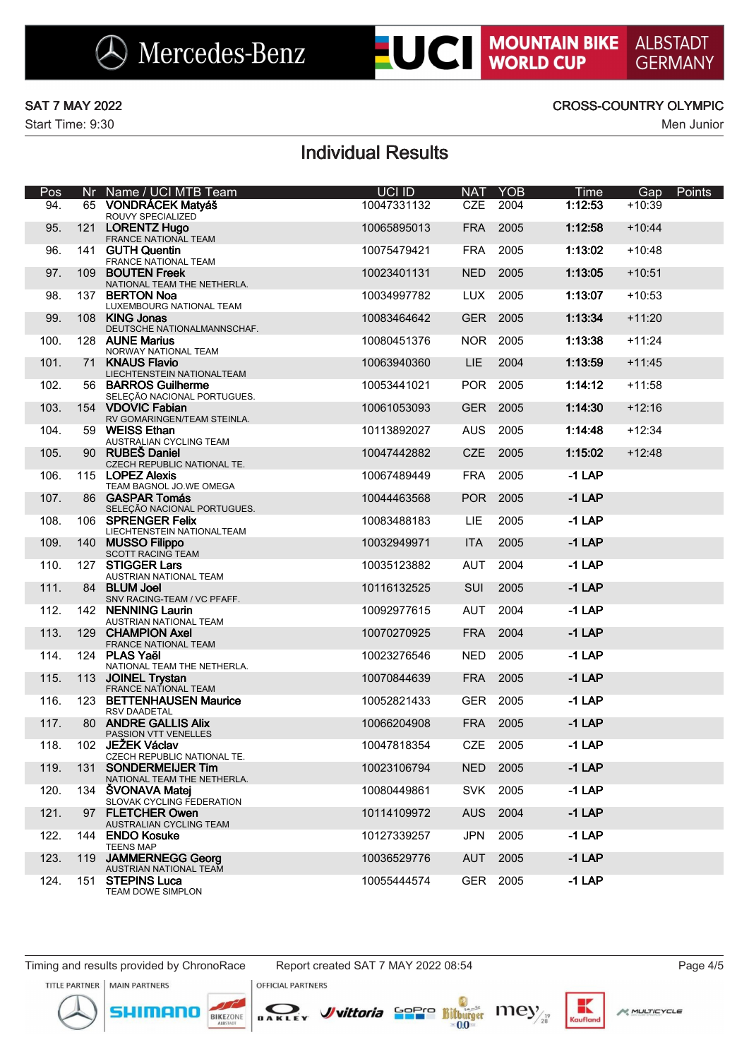### SAT 7 MAY 2022 CROSS-COUNTRY OLYMPIC

**LUCI MOUNTAIN BIKE** 

**ALBSTADT** 

**GERMANY** 

# Individual Results

| Pos  | Nr. | Name / UCI MTB Team                                 | UCI ID      | <b>NAT</b> | <b>YOB</b> | Time     | Gap      | Points |
|------|-----|-----------------------------------------------------|-------------|------------|------------|----------|----------|--------|
| 94.  |     | 65 VONDRÁCEK Matyáš<br>ROUVY SPECIALIZED            | 10047331132 | <b>CZE</b> | 2004       | 1:12:53  | $+10:39$ |        |
| 95.  |     | 121 LORENTZ Hugo<br>FRANCE NATIONAL TEAM            | 10065895013 | <b>FRA</b> | 2005       | 1:12:58  | $+10:44$ |        |
| 96.  |     | 141 GUTH Quentin<br>FRANCE NATIONAL TEAM            | 10075479421 | <b>FRA</b> | 2005       | 1:13:02  | $+10:48$ |        |
| 97.  |     | 109 BOUTEN Freek<br>NATIONAL TEAM THE NETHERLA.     | 10023401131 | <b>NED</b> | 2005       | 1:13:05  | $+10:51$ |        |
| 98.  |     | 137 BERTON Noa<br>LUXEMBOURG NATIONAL TEAM          | 10034997782 | <b>LUX</b> | 2005       | 1:13:07  | $+10:53$ |        |
| 99.  |     | 108 KING Jonas<br>DEUTSCHE NATIONALMANNSCHAF.       | 10083464642 | <b>GER</b> | 2005       | 1:13:34  | $+11:20$ |        |
| 100. |     | 128 AUNE Marius<br>NORWAY NATIONAL TEAM             | 10080451376 | <b>NOR</b> | 2005       | 1:13:38  | $+11:24$ |        |
| 101. |     | 71 KNAUS Flavio<br>LIECHTENSTEIN NATIONALTEAM       | 10063940360 | <b>LIE</b> | 2004       | 1:13:59  | $+11:45$ |        |
| 102. |     | 56 BARROS Guilherme<br>SELEÇÃO NACIONAL PORTUGUES.  | 10053441021 | <b>POR</b> | 2005       | 1:14:12  | $+11:58$ |        |
| 103. |     | 154 VDOVIC Fabian<br>RV GOMARINGEN/TEAM STEINLA.    | 10061053093 | <b>GER</b> | 2005       | 1:14:30  | $+12:16$ |        |
| 104. |     | 59 WEISS Ethan<br>AUSTRALIAN CYCLING TEAM           | 10113892027 | <b>AUS</b> | 2005       | 1:14:48  | $+12:34$ |        |
| 105. |     | 90 RUBEŠ Daniel<br>CZECH REPUBLIC NATIONAL TE.      | 10047442882 | <b>CZE</b> | 2005       | 1:15:02  | $+12:48$ |        |
| 106. |     | 115 LOPEZ Alexis<br>TEAM BAGNOL JO.WE OMEGA         | 10067489449 | <b>FRA</b> | 2005       | $-1$ LAP |          |        |
| 107. |     | 86 GASPAR Tomás<br>SELEÇÃO NACIONAL PORTUGUES.      | 10044463568 | <b>POR</b> | 2005       | $-1$ LAP |          |        |
| 108. |     | 106 SPRENGER Felix<br>LIECHTENSTEIN NATIONALTEAM    | 10083488183 | LIE        | 2005       | $-1$ LAP |          |        |
| 109. |     | 140 MUSSO Filippo<br>SCOTT RACING TEAM              | 10032949971 | <b>ITA</b> | 2005       | $-1$ LAP |          |        |
| 110. |     | 127 STIGGER Lars<br>AUSTRIAN NATIONAL TEAM          | 10035123882 | <b>AUT</b> | 2004       | $-1$ LAP |          |        |
| 111. |     | 84 BLUM Joel<br>SNV RACING-TEAM / VC PFAFF.         | 10116132525 | SUI        | 2005       | $-1$ LAP |          |        |
| 112. |     | 142 NENNING Laurin<br>AUSTRIAN NATIONAL TEAM        | 10092977615 | <b>AUT</b> | 2004       | $-1$ LAP |          |        |
| 113. |     | 129 CHAMPION Axel<br>FRANCE NATIONAL TEAM           | 10070270925 | <b>FRA</b> | 2004       | $-1$ LAP |          |        |
| 114. |     | 124 PLAS Yaël<br>NATIONAL TEAM THE NETHERLA.        | 10023276546 | <b>NED</b> | 2005       | $-1$ LAP |          |        |
| 115. |     | 113 JOINEL Trystan<br>FRANCE NATIONAL TEAM          | 10070844639 | <b>FRA</b> | 2005       | $-1$ LAP |          |        |
| 116. |     | 123 BETTENHAUSEN Maurice<br><b>RSV DAADETAL</b>     | 10052821433 | <b>GER</b> | 2005       | $-1$ LAP |          |        |
| 117. |     | 80 ANDRE GALLIS Alix<br>PASSION VTT VENELLES        | 10066204908 | <b>FRA</b> | 2005       | $-1$ LAP |          |        |
| 118. | 102 | JEŽEK Václav<br>CZECH REPUBLIC NATIONAL TE.         | 10047818354 | <b>CZE</b> | 2005       | $-1$ LAP |          |        |
| 119. |     | 131 SONDERMEIJER Tim<br>NATIONAL TEAM THE NETHERLA. | 10023106794 | NED.       | 2005       | $-1$ LAP |          |        |
| 120. |     | 134 SVONAVA Matej<br>SLOVAK CYCLING FEDERATION      | 10080449861 | SVK        | 2005       | $-1$ LAP |          |        |
| 121. |     | 97 FLETCHER Owen<br>AUSTRALIAN CYCLING TEAM         | 10114109972 | <b>AUS</b> | 2004       | $-1$ LAP |          |        |
| 122. |     | 144 ENDO Kosuke<br><b>TEENS MAP</b>                 | 10127339257 | <b>JPN</b> | 2005       | $-1$ LAP |          |        |
| 123. |     | 119 JAMMERNEGG Georg<br>AUSTRIAN NATIONAL TEAM      | 10036529776 | <b>AUT</b> | 2005       | $-1$ LAP |          |        |
| 124. |     | 151 STEPINS Luca<br>TEAM DOWE SIMPLON               | 10055444574 | GER        | 2005       | $-1$ LAP |          |        |

**OFFICIAL PARTNERS** 





BIKEZONE





к

Kaufla